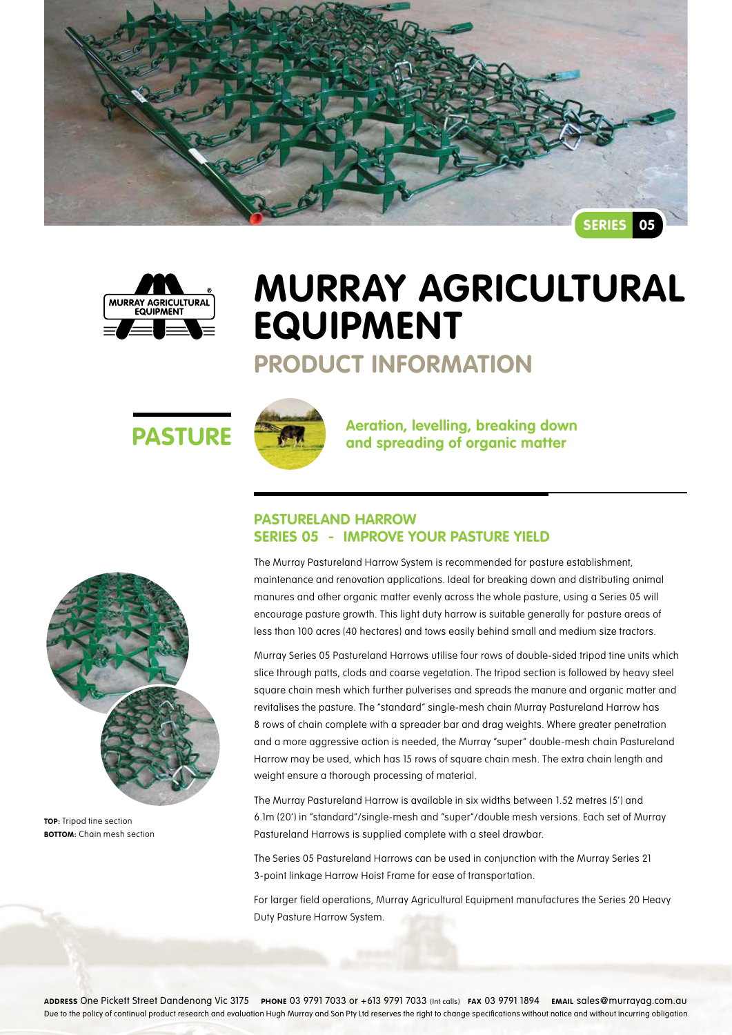



# **Murray Agricultural Equipment**

### **Product Information**





**PASTURE ARE A** Aeration, levelling, breaking down<br>and spreading of organic matter

### **Pastureland Harrow Series 05 - Improve your pasture yield**

The Murray Pastureland Harrow System is recommended for pasture establishment, maintenance and renovation applications. Ideal for breaking down and distributing animal manures and other organic matter evenly across the whole pasture, using a Series 05 will encourage pasture growth. This light duty harrow is suitable generally for pasture areas of less than 100 acres (40 hectares) and tows easily behind small and medium size tractors.

Murray Series 05 Pastureland Harrows utilise four rows of double-sided tripod tine units which slice through patts, clods and coarse vegetation. The tripod section is followed by heavy steel square chain mesh which further pulverises and spreads the manure and organic matter and revitalises the pasture. The "standard" single-mesh chain Murray Pastureland Harrow has 8 rows of chain complete with a spreader bar and drag weights. Where greater penetration and a more aggressive action is needed, the Murray "super" double-mesh chain Pastureland Harrow may be used, which has 15 rows of square chain mesh. The extra chain length and weight ensure a thorough processing of material.

The Murray Pastureland Harrow is available in six widths between 1.52 metres (5') and 6.1m (20') in "standard"/single-mesh and "super"/double mesh versions. Each set of Murray Pastureland Harrows is supplied complete with a steel drawbar.

The Series 05 Pastureland Harrows can be used in conjunction with the Murray Series 21 3-point linkage Harrow Hoist Frame for ease of transportation.

For larger field operations, Murray Agricultural Equipment manufactures the Series 20 Heavy Duty Pasture Harrow System.



**TOP:** Tripod tine section **BOTTOM:** Chain mesh section

**Address** One Pickett Street Dandenong Vic 3175 **Phone** 03 9791 7033 or +613 9791 7033 (Int calls) **Fax** 03 9791 1894 **Email** sales@murrayag.com.au Due to the policy of continual product research and evaluation Hugh Murray and Son Pty Ltd reserves the right to change specifications without notice and without incurring obligation.